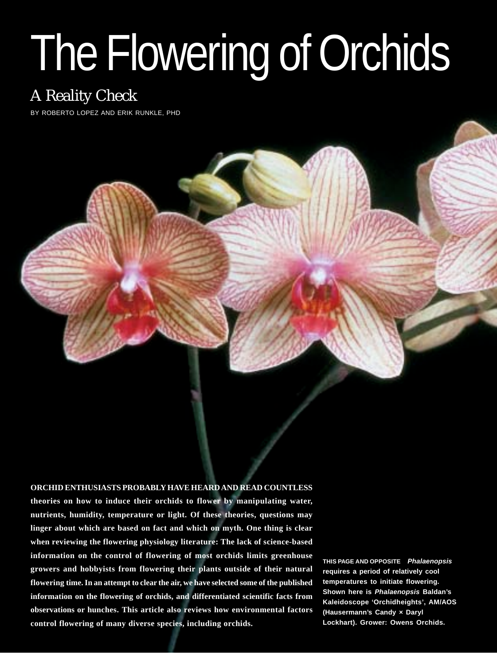# The Flowering of Orchids

## A Reality Check

BY ROBERTO LOPEZ AND ERIK RUNKLE, PHD

### **ORCHID ENTHUSIASTS PROBABLY HAVE HEARD AND READ COUNTLESS**

**theories on how to induce their orchids to flower by manipulating water, nutrients, humidity, temperature or light. Of these theories, questions may linger about which are based on fact and which on myth. One thing is clear when reviewing the flowering physiology literature: The lack of science-based information on the control of flowering of most orchids limits greenhouse growers and hobbyists from flowering their plants outside of their natural flowering time. In an attempt to clear the air, we have selected some of the published information on the flowering of orchids, and differentiated scientific facts from observations or hunches. This article also reviews how environmental factors control flowering of many diverse species, including orchids.**

**THIS PAGE AND OPPOSITE Phalaenopsis requires a period of relatively cool temperatures to initiate flowering. Shown here is Phalaenopsis Baldan's Kaleidoscope 'Orchidheights', AM/AOS (Hausermann's Candy × Daryl Lockhart). Grower: Owens Orchids.**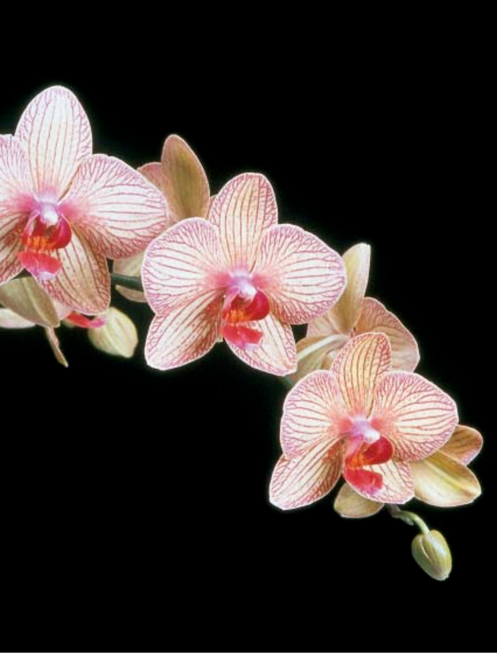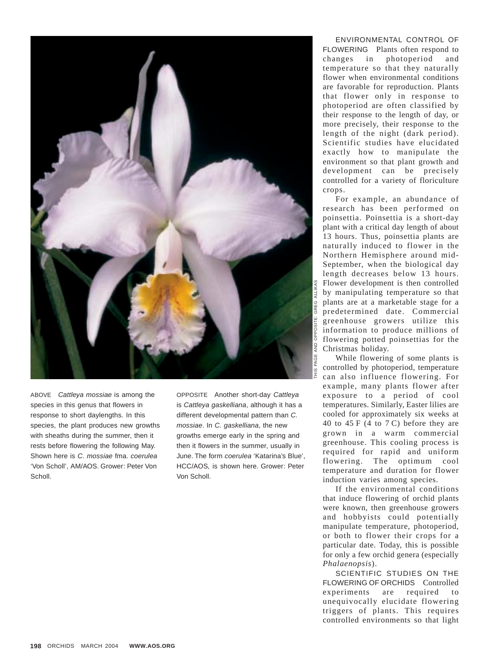

ABOVE Cattleya mossiae is among the species in this genus that flowers in response to short daylengths. In this species, the plant produces new growths with sheaths during the summer, then it rests before flowering the following May. Shown here is C. mossiae fma. coerulea 'Von Scholl', AM/AOS. Grower: Peter Von Scholl.

OPPOSITE Another short-day Cattleya is Cattleya gaskelliana, although it has a different developmental pattern than C. mossiae. In C. gaskelliana, the new growths emerge early in the spring and then it flowers in the summer, usually in June. The form coerulea 'Katarina's Blue', HCC/AOS, is shown here. Grower: Peter Von Scholl.

ENVIRONMENTAL CONTROL OF FLOWERING Plants often respond to changes in photoperiod and temperature so that they naturally flower when environmental conditions are favorable for reproduction. Plants that flower only in response to photoperiod are often classified by their response to the length of day, or more precisely, their response to the length of the night (dark period). Scientific studies have elucidated exactly how to manipulate the environment so that plant growth and development can be precisely controlled for a variety of floriculture crops.

For example, an abundance of research has been performed on poinsettia. Poinsettia is a short-day plant with a critical day length of about 13 hours. Thus, poinsettia plants are naturally induced to flower in the Northern Hemisphere around mid-September, when the biological day length decreases below 13 hours. Flower development is then controlled by manipulating temperature so that plants are at a marketable stage for a predetermined date. Commercial greenhouse growers utilize this information to produce millions of flowering potted poinsettias for the Christmas holiday.

While flowering of some plants is controlled by photoperiod, temperature can also influence flowering. For example, many plants flower after exposure to a period of cool temperatures. Similarly, Easter lilies are cooled for approximately six weeks at 40 to 45 F (4 to  $7 \text{ C}$ ) before they are grown in a warm commercial greenhouse. This cooling process is required for rapid and uniform flowering. The optimum cool temperature and duration for flower induction varies among species.

If the environmental conditions that induce flowering of orchid plants were known, then greenhouse growers and hobbyists could potentially manipulate temperature, photoperiod, or both to flower their crops for a particular date. Today, this is possible for only a few orchid genera (especially *Phalaenopsis*).

SCIENTIFIC STUDIES ON THE FLOWERING OF ORCHIDS Controlled experiments are required to unequivocally elucidate flowering triggers of plants. This requires controlled environments so that light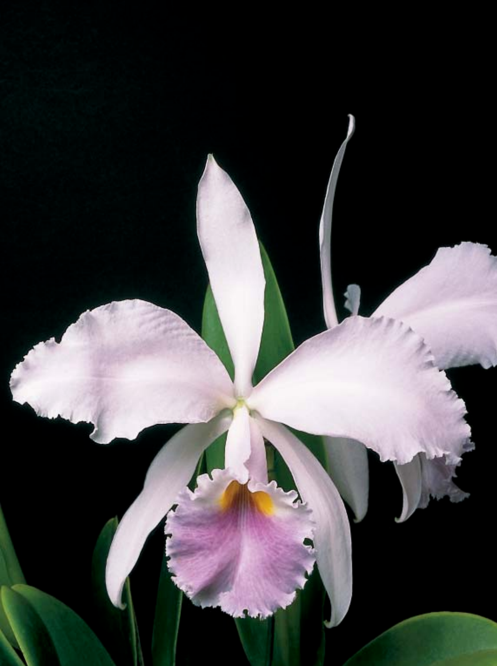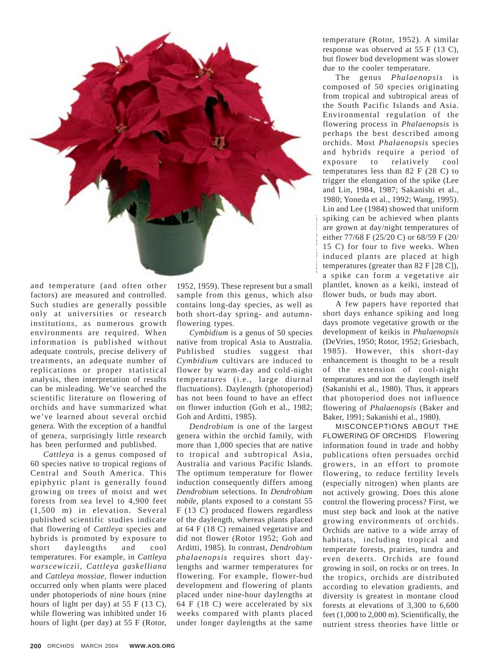

and temperature (and often other factors) are measured and controlled. Such studies are generally possible only at universities or research institutions, as numerous growth environments are required. When information is published without adequate controls, precise delivery of treatments, an adequate number of replications or proper statistical analysis, then interpretation of results can be misleading. We've searched the scientific literature on flowering of orchids and have summarized what we've learned about several orchid genera. With the exception of a handful of genera, surprisingly little research has been performed and published.

*Cattleya* is a genus composed of 60 species native to tropical regions of Central and South America. This epiphytic plant is generally found growing on trees of moist and wet forests from sea level to 4,900 feet (1,500 m) in elevation. Several published scientific studies indicate that flowering of *Cattleya* species and hybrids is promoted by exposure to short daylengths and cool temperatures. For example, in *Cattleya warscewiczii, Cattleya gaskelliana* and *Cattleya mossiae,* flower induction occurred only when plants were placed under photoperiods of nine hours (nine hours of light per day) at 55 F (13 C), while flowering was inhibited under 16 hours of light (per day) at 55 F (Rotor,

1952, 1959). These represent but a small sample from this genus, which also contains long-day species, as well as both short-day spring- and autumnflowering types.

*Cymbidium* is a genus of 50 species native from tropical Asia to Australia. Published studies suggest that *Cymbidium* cultivars are induced to flower by warm-day and cold-night temperatures (i.e., large diurnal fluctuations). Daylength (photoperiod) has not been found to have an effect on flower induction (Goh et al., 1982; Goh and Arditti, 1985).

*Dendrobium* is one of the largest genera within the orchid family, with more than 1,000 species that are native to tropical and subtropical Asia, Australia and various Pacific Islands. The optimum temperature for flower induction consequently differs among *Dendrobium* selections. In *Dendrobium nobile,* plants exposed to a constant 55 F (13 C) produced flowers regardless of the daylength, whereas plants placed at 64 F (18 C) remained vegetative and did not flower (Rotor 1952; Goh and Arditti, 1985). In contrast, *Dendrobium phalaenopsis* requires short daylengths and warmer temperatures for flowering*.* For example, flower-bud development and flowering of plants placed under nine-hour daylengths at 64 F (18 C) were accelerated by six weeks compared with plants placed under longer daylengths at the same temperature (Rotor, 1952). A similar response was observed at 55 F (13 C), but flower bud development was slower due to the cooler temperature.

The genus *Phalaenopsis* is composed of 50 species originating from tropical and subtropical areas of the South Pacific Islands and Asia. Environmental regulation of the flowering process in *Phalaenopsis* is perhaps the best described among orchids. Most *Phalaenopsis* species and hybrids require a period of exposure to relatively cool temperatures less than 82 F (28 C) to trigger the elongation of the spike (Lee and Lin, 1984, 1987; Sakanishi et al., 1980; Yoneda et al., 1992; Wang, 1995). Lin and Lee (1984) showed that uniform spiking can be achieved when plants are grown at day/night temperatures of either 77/68 F (25/20 C) or 68/59 F (20/ 15 C) for four to five weeks. When induced plants are placed at high temperatures (greater than 82 F [28 C]), a spike can form a vegetative air plantlet, known as a keiki, instead of flower buds, or buds may abort.

A few papers have reported that short days enhance spiking and long days promote vegetative growth or the development of keikis in *Phalaenopsis* (DeVries, 1950; Rotor, 1952; Griesbach, 1985). However, this short-day enhancement is thought to be a result of the extension of cool-night temperatures and not the daylength itself (Sakanishi et al., 1980). Thus, it appears that photoperiod does not influence flowering of *Phalaenopsis* (Baker and Baker, 1991; Sakanishi et al., 1980).

MISCONCEPTIONS ABOUT THE FLOWERING OF ORCHIDS Flowering information found in trade and hobby publications often persuades orchid growers, in an effort to promote flowering, to reduce fertility levels (especially nitrogen) when plants are not actively growing. Does this alone control the flowering process? First, we must step back and look at the native growing environments of orchids. Orchids are native to a wide array of habitats, including tropical and temperate forests, prairies, tundra and even deserts. Orchids are found growing in soil, on rocks or on trees. In the tropics, orchids are distributed according to elevation gradients, and diversity is greatest in montane cloud forests at elevations of 3,300 to 6,600 feet (1,000 to 2,000 m). Scientifically, the nutrient stress theories have little or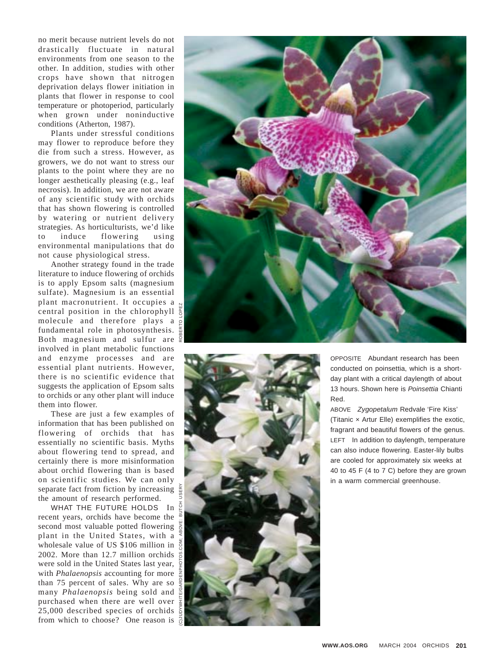no merit because nutrient levels do not drastically fluctuate in natural environments from one season to the other. In addition, studies with other crops have shown that nitrogen deprivation delays flower initiation in plants that flower in response to cool temperature or photoperiod, particularly when grown under noninductive conditions (Atherton, 1987).

Plants under stressful conditions may flower to reproduce before they die from such a stress. However, as growers, we do not want to stress our plants to the point where they are no longer aesthetically pleasing (e.g., leaf necrosis). In addition, we are not aware of any scientific study with orchids that has shown flowering is controlled by watering or nutrient delivery strategies. As horticulturists, we'd like to induce flowering using environmental manipulations that do not cause physiological stress.

Another strategy found in the trade literature to induce flowering of orchids is to apply Epsom salts (magnesium sulfate). Magnesium is an essential plant macronutrient. It occupies a central position in the chlorophyll molecule and therefore plays a  $\overline{6}$ fundamental role in photosynthesis. Both magnesium and sulfur are involved in plant metabolic functions and enzyme processes and are essential plant nutrients. However, there is no scientific evidence that suggests the application of Epsom salts to orchids or any other plant will induce them into flower.

These are just a few examples of information that has been published on flowering of orchids that has essentially no scientific basis. Myths about flowering tend to spread, and certainly there is more misinformation about orchid flowering than is based on scientific studies. We can only separate fact from fiction by increasing  $\frac{6}{15}$ the amount of research performed.

WHAT THE FUTURE HOLDS In  $\frac{5}{5}$ recent years, orchids have become the second most valuable potted flowering  $\frac{8}{9}$ plant in the United States, with a wholesale value of US \$106 million in  $\frac{8}{9}$ 2002. More than 12.7 million orchids were sold in the United States last year, with *Phalaenopsis* accounting for more than 75 percent of sales. Why are so  $\frac{1}{5}$ many *Phalaenopsis* being sold and purchased when there are well over  $25,000$  described species of orchids  $\frac{5}{6}$ from which to choose? One reason is  $\frac{3}{6}$ 





OPPOSITE Abundant research has been conducted on poinsettia, which is a shortday plant with a critical daylength of about 13 hours. Shown here is Poinsettia Chianti Red.

ABOVE Zygopetalum Redvale 'Fire Kiss' (Titanic × Artur Elle) exemplifies the exotic, fragrant and beautiful flowers of the genus. LEFT In addition to daylength, temperature can also induce flowering. Easter-lily bulbs are cooled for approximately six weeks at 40 to 45 F (4 to 7 C) before they are grown in a warm commercial greenhouse.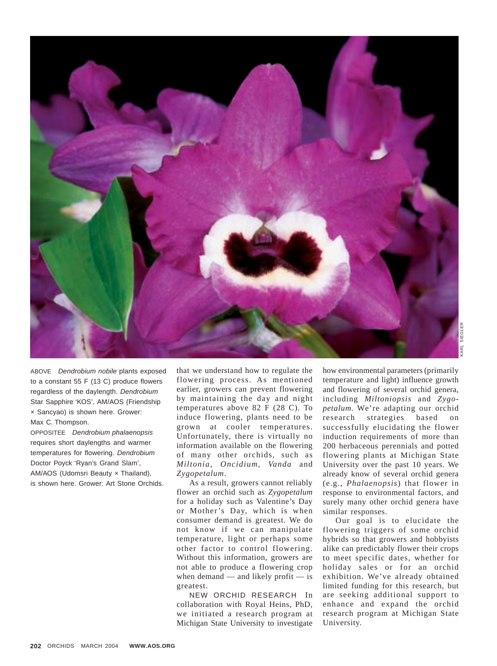

ABOVE Dendrobium nobile plants exposed to a constant 55 F (13 C) produce flowers regardless of the daylength. Dendrobium Star Sapphire 'KOS', AM/AOS (Friendship × Sancyao) is shown here. Grower: Max C. Thompson.

OPPOSITEE Dendrobium phalaenopsis requires short daylengths and warmer temperatures for flowering. Dendrobium Doctor Poyck 'Ryan's Grand Slam', AM/AOS (Udomsri Beauty x Thailand), is shown here. Grower: Art Stone Orchids. that we understand how to regulate the flowering process. As mentioned earlier, growers can prevent flowering by maintaining the day and night temperatures above 82 F (28 C). To induce flowering, plants need to be grown at cooler temperatures. Unfortunately, there is virtually no information available on the flowering of many other orchids, such as *Miltonia*, *Oncidium*, *Vanda* and *Zygopetalum*.

As a result, growers cannot reliably flower an orchid such as *Zygopetalum* for a holiday such as Valentine's Day or Mother's Day, which is when consumer demand is greatest. We do not know if we can manipulate temperature, light or perhaps some other factor to control flowering. Without this information, growers are not able to produce a flowering crop when demand — and likely profit — is greatest.

NEW ORCHID RESEARCH In collaboration with Royal Heins, PhD, we initiated a research program at Michigan State University to investigate

how environmental parameters (primarily temperature and light) influence growth and flowering of several orchid genera, including *Miltoniopsis* and *Zygopetalum*. We're adapting our orchid research strategies based on successfully elucidating the flower induction requirements of more than 200 herbaceous perennials and potted flowering plants at Michigan State University over the past 10 years. We already know of several orchid genera (e.g., *Phalaenopsis*) that flower in response to environmental factors, and surely many other orchid genera have similar responses.

Our goal is to elucidate the flowering triggers of some orchid hybrids so that growers and hobbyists alike can predictably flower their crops to meet specific dates, whether for holiday sales or for an orchid exhibition. We've already obtained limited funding for this research, but are seeking additional support to enhance and expand the orchid research program at Michigan State University.